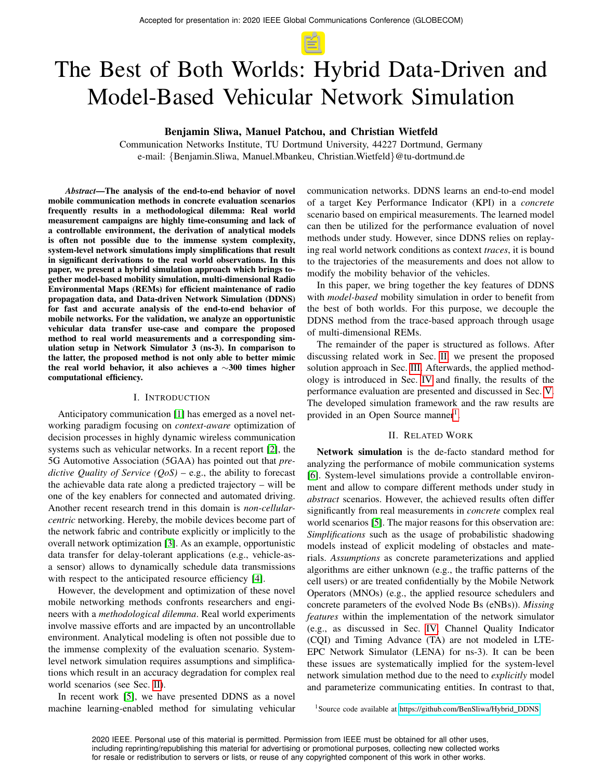# The Best of Both Worlds: Hybrid Data-Driven and Model-Based Vehicular Network Simulation

Benjamin Sliwa, Manuel Patchou, and Christian Wietfeld

Communication Networks Institute, TU Dortmund University, 44227 Dortmund, Germany e-mail: {Benjamin.Sliwa, Manuel.Mbankeu, Christian.Wietfeld}@tu-dortmund.de

*Abstract*—The analysis of the end-to-end behavior of novel mobile communication methods in concrete evaluation scenarios frequently results in a methodological dilemma: Real world measurement campaigns are highly time-consuming and lack of a controllable environment, the derivation of analytical models is often not possible due to the immense system complexity, system-level network simulations imply simplifications that result in significant derivations to the real world observations. In this paper, we present a hybrid simulation approach which brings together model-based mobility simulation, multi-dimensional Radio Environmental Maps (REMs) for efficient maintenance of radio propagation data, and Data-driven Network Simulation (DDNS) for fast and accurate analysis of the end-to-end behavior of mobile networks. For the validation, we analyze an opportunistic vehicular data transfer use-case and compare the proposed method to real world measurements and a corresponding simulation setup in Network Simulator 3 (ns-3). In comparison to the latter, the proposed method is not only able to better mimic the real world behavior, it also achieves a ∼300 times higher computational efficiency.

#### I. INTRODUCTION

Anticipatory communication [\[1\]](#page-5-0) has emerged as a novel networking paradigm focusing on *context-aware* optimization of decision processes in highly dynamic wireless communication systems such as vehicular networks. In a recent report [\[2\]](#page-5-1), the 5G Automotive Association (5GAA) has pointed out that *predictive Quality of Service (QoS)* – e.g., the ability to forecast the achievable data rate along a predicted trajectory – will be one of the key enablers for connected and automated driving. Another recent research trend in this domain is *non-cellularcentric* networking. Hereby, the mobile devices become part of the network fabric and contribute explicitly or implicitly to the overall network optimization [\[3\]](#page-5-2). As an example, opportunistic data transfer for delay-tolerant applications (e.g., vehicle-asa sensor) allows to dynamically schedule data transmissions with respect to the anticipated resource efficiency [\[4\]](#page-5-3).

However, the development and optimization of these novel mobile networking methods confronts researchers and engineers with a *methodological dilemma*. Real world experiments involve massive efforts and are impacted by an uncontrollable environment. Analytical modeling is often not possible due to the immense complexity of the evaluation scenario. Systemlevel network simulation requires assumptions and simplifications which result in an accuracy degradation for complex real world scenarios (see Sec. [II\)](#page-0-0).

In recent work [\[5\]](#page-5-4), we have presented DDNS as a novel machine learning-enabled method for simulating vehicular communication networks. DDNS learns an end-to-end model of a target Key Performance Indicator (KPI) in a *concrete* scenario based on empirical measurements. The learned model can then be utilized for the performance evaluation of novel methods under study. However, since DDNS relies on replaying real world network conditions as context *traces*, it is bound to the trajectories of the measurements and does not allow to modify the mobility behavior of the vehicles.

In this paper, we bring together the key features of DDNS with *model-based* mobility simulation in order to benefit from the best of both worlds. For this purpose, we decouple the DDNS method from the trace-based approach through usage of multi-dimensional REMs.

The remainder of the paper is structured as follows. After discussing related work in Sec. [II,](#page-0-0) we present the proposed solution approach in Sec. [III.](#page-1-0) Afterwards, the applied methodology is introduced in Sec. [IV](#page-2-0) and finally, the results of the performance evaluation are presented and discussed in Sec. [V.](#page-3-0) The developed simulation framework and the raw results are provided in an Open Source manner<sup>[1](#page-0-1)</sup>.

### II. RELATED WORK

<span id="page-0-0"></span>Network simulation is the de-facto standard method for analyzing the performance of mobile communication systems [\[6\]](#page-5-5). System-level simulations provide a controllable environment and allow to compare different methods under study in *abstract* scenarios. However, the achieved results often differ significantly from real measurements in *concrete* complex real world scenarios [\[5\]](#page-5-4). The major reasons for this observation are: *Simplifications* such as the usage of probabilistic shadowing models instead of explicit modeling of obstacles and materials. *Assumptions* as concrete parameterizations and applied algorithms are either unknown (e.g., the traffic patterns of the cell users) or are treated confidentially by the Mobile Network Operators (MNOs) (e.g., the applied resource schedulers and concrete parameters of the evolved Node Bs (eNBs)). *Missing features* within the implementation of the network simulator (e.g., as discussed in Sec. [IV,](#page-2-0) Channel Quality Indicator (CQI) and Timing Advance (TA) are not modeled in LTE-EPC Network Simulator (LENA) for ns-3). It can be been these issues are systematically implied for the system-level network simulation method due to the need to *explicitly* model and parameterize communicating entities. In contrast to that,

<span id="page-0-1"></span><sup>1</sup>Source code available at [https://github.com/BenSliwa/Hybrid](https://github.com/BenSliwa/Hybrid_DDNS)\_DDNS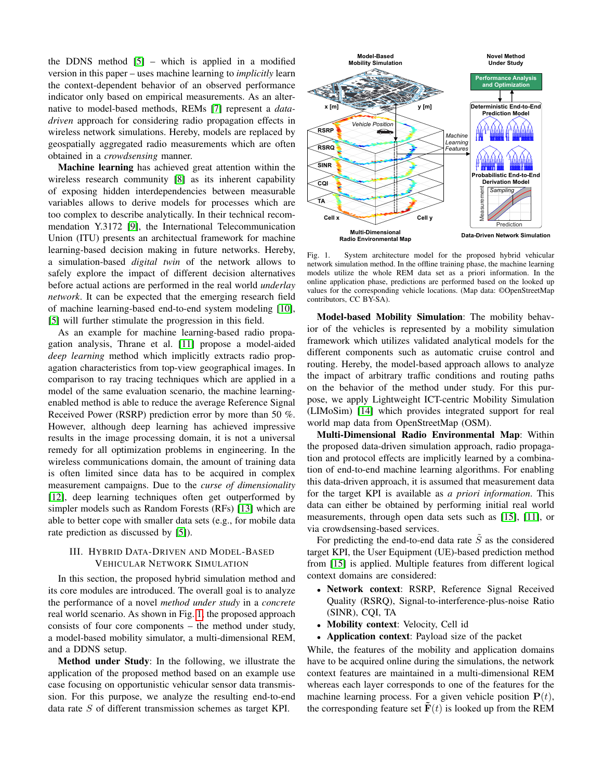the DDNS method [\[5\]](#page-5-4) – which is applied in a modified version in this paper – uses machine learning to *implicitly* learn the context-dependent behavior of an observed performance indicator only based on empirical measurements. As an alternative to model-based methods, REMs [\[7\]](#page-5-6) represent a *datadriven* approach for considering radio propagation effects in wireless network simulations. Hereby, models are replaced by geospatially aggregated radio measurements which are often obtained in a *crowdsensing* manner.

Machine learning has achieved great attention within the wireless research community [\[8\]](#page-5-7) as its inherent capability of exposing hidden interdependencies between measurable variables allows to derive models for processes which are too complex to describe analytically. In their technical recommendation Y.3172 [\[9\]](#page-5-8), the International Telecommunication Union (ITU) presents an architectual framework for machine learning-based decision making in future networks. Hereby, a simulation-based *digital twin* of the network allows to safely explore the impact of different decision alternatives before actual actions are performed in the real world *underlay network*. It can be expected that the emerging research field of machine learning-based end-to-end system modeling [\[10\]](#page-5-9), [\[5\]](#page-5-4) will further stimulate the progression in this field.

As an example for machine learning-based radio propagation analysis, Thrane et al. [\[11\]](#page-5-10) propose a model-aided *deep learning* method which implicitly extracts radio propagation characteristics from top-view geographical images. In comparison to ray tracing techniques which are applied in a model of the same evaluation scenario, the machine learningenabled method is able to reduce the average Reference Signal Received Power (RSRP) prediction error by more than 50 %. However, although deep learning has achieved impressive results in the image processing domain, it is not a universal remedy for all optimization problems in engineering. In the wireless communications domain, the amount of training data is often limited since data has to be acquired in complex measurement campaigns. Due to the *curse of dimensionality* [\[12\]](#page-5-11), deep learning techniques often get outperformed by simpler models such as Random Forests (RFs) [\[13\]](#page-5-12) which are able to better cope with smaller data sets (e.g., for mobile data rate prediction as discussed by [\[5\]](#page-5-4)).

## <span id="page-1-0"></span>III. HYBRID DATA-DRIVEN AND MODEL-BASED VEHICULAR NETWORK SIMULATION

In this section, the proposed hybrid simulation method and its core modules are introduced. The overall goal is to analyze the performance of a novel *method under study* in a *concrete* real world scenario. As shown in Fig. [1,](#page-1-1) the proposed approach consists of four core components – the method under study, a model-based mobility simulator, a multi-dimensional REM, and a DDNS setup.

Method under Study: In the following, we illustrate the application of the proposed method based on an example use case focusing on opportunistic vehicular sensor data transmission. For this purpose, we analyze the resulting end-to-end data rate S of different transmission schemes as target KPI.



<span id="page-1-1"></span>Fig. 1. System architecture model for the proposed hybrid vehicular network simulation method. In the offline training phase, the machine learning models utilize the whole REM data set as a priori information. In the online application phase, predictions are performed based on the looked up values for the corresponding vehicle locations. (Map data: ©OpenStreetMap contributors, CC BY-SA).

Model-based Mobility Simulation: The mobility behavior of the vehicles is represented by a mobility simulation framework which utilizes validated analytical models for the different components such as automatic cruise control and routing. Hereby, the model-based approach allows to analyze the impact of arbitrary traffic conditions and routing paths on the behavior of the method under study. For this purpose, we apply Lightweight ICT-centric Mobility Simulation (LIMoSim) [\[14\]](#page-5-13) which provides integrated support for real world map data from OpenStreetMap (OSM).

Multi-Dimensional Radio Environmental Map: Within the proposed data-driven simulation approach, radio propagation and protocol effects are implicitly learned by a combination of end-to-end machine learning algorithms. For enabling this data-driven approach, it is assumed that measurement data for the target KPI is available as *a priori information*. This data can either be obtained by performing initial real world measurements, through open data sets such as [\[15\]](#page-5-14), [\[11\]](#page-5-10), or via crowdsensing-based services.

For predicting the end-to-end data rate  $\tilde{S}$  as the considered target KPI, the User Equipment (UE)-based prediction method from [\[15\]](#page-5-14) is applied. Multiple features from different logical context domains are considered:

- Network context: RSRP, Reference Signal Received Quality (RSRQ), Signal-to-interference-plus-noise Ratio (SINR), CQI, TA
- Mobility context: Velocity, Cell id
- **Application context**: Payload size of the packet

While, the features of the mobility and application domains have to be acquired online during the simulations, the network context features are maintained in a multi-dimensional REM whereas each layer corresponds to one of the features for the machine learning process. For a given vehicle position  $P(t)$ , the corresponding feature set  $F(t)$  is looked up from the REM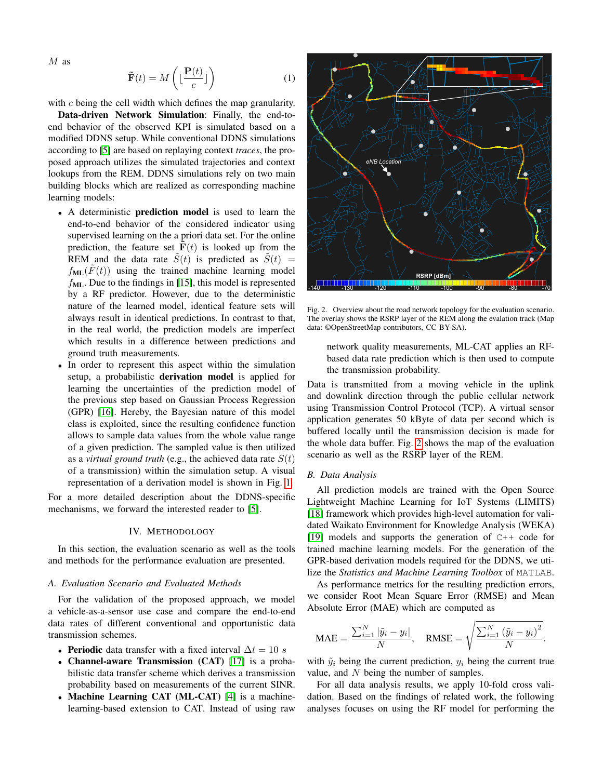$M$  as

$$
\tilde{\mathbf{F}}(t) = M\left(\lfloor \frac{\mathbf{P}(t)}{c} \rfloor\right) \tag{1}
$$

with  $c$  being the cell width which defines the map granularity.

Data-driven Network Simulation: Finally, the end-toend behavior of the observed KPI is simulated based on a modified DDNS setup. While conventional DDNS simulations according to [\[5\]](#page-5-4) are based on replaying context *traces*, the proposed approach utilizes the simulated trajectories and context lookups from the REM. DDNS simulations rely on two main building blocks which are realized as corresponding machine learning models:

- A deterministic prediction model is used to learn the end-to-end behavior of the considered indicator using supervised learning on the a priori data set. For the online prediction, the feature set  $F(t)$  is looked up from the REM and the data rate  $\tilde{S}(t)$  is predicted as  $\tilde{S}(t)$  =  $f_{ML}(\overline{F}(t))$  using the trained machine learning model  $f_{ML}$ . Due to the findings in [\[15\]](#page-5-14), this model is represented by a RF predictor. However, due to the deterministic nature of the learned model, identical feature sets will always result in identical predictions. In contrast to that, in the real world, the prediction models are imperfect which results in a difference between predictions and ground truth measurements.
- In order to represent this aspect within the simulation setup, a probabilistic derivation model is applied for learning the uncertainties of the prediction model of the previous step based on Gaussian Process Regression (GPR) [\[16\]](#page-5-15). Hereby, the Bayesian nature of this model class is exploited, since the resulting confidence function allows to sample data values from the whole value range of a given prediction. The sampled value is then utilized as a *virtual ground truth* (e.g., the achieved data rate  $S(t)$ ) of a transmission) within the simulation setup. A visual representation of a derivation model is shown in Fig. [1.](#page-1-1)

For a more detailed description about the DDNS-specific mechanisms, we forward the interested reader to [\[5\]](#page-5-4).

#### IV. METHODOLOGY

<span id="page-2-0"></span>In this section, the evaluation scenario as well as the tools and methods for the performance evaluation are presented.

### *A. Evaluation Scenario and Evaluated Methods*

For the validation of the proposed approach, we model a vehicle-as-a-sensor use case and compare the end-to-end data rates of different conventional and opportunistic data transmission schemes.

- Periodic data transfer with a fixed interval  $\Delta t = 10 s$
- Channel-aware Transmission (CAT) [\[17\]](#page-5-16) is a probabilistic data transfer scheme which derives a transmission probability based on measurements of the current SINR.
- Machine Learning CAT (ML-CAT) [\[4\]](#page-5-3) is a machinelearning-based extension to CAT. Instead of using raw



Fig. 2. Overview about the road network topology for the evaluation scenario. The overlay shows the RSRP layer of the REM along the evalation track (Map data: ©OpenStreetMap contributors, CC BY-SA).

<span id="page-2-1"></span>network quality measurements, ML-CAT applies an RFbased data rate prediction which is then used to compute the transmission probability.

Data is transmitted from a moving vehicle in the uplink and downlink direction through the public cellular network using Transmission Control Protocol (TCP). A virtual sensor application generates 50 kByte of data per second which is buffered locally until the transmission decision is made for the whole data buffer. Fig. [2](#page-2-1) shows the map of the evaluation scenario as well as the RSRP layer of the REM.

## *B. Data Analysis*

All prediction models are trained with the Open Source Lightweight Machine Learning for IoT Systems (LIMITS) [\[18\]](#page-5-17) framework which provides high-level automation for validated Waikato Environment for Knowledge Analysis (WEKA) [\[19\]](#page-5-18) models and supports the generation of  $C++$  code for trained machine learning models. For the generation of the GPR-based derivation models required for the DDNS, we utilize the *Statistics and Machine Learning Toolbox* of MATLAB.

As performance metrics for the resulting prediction errors, we consider Root Mean Square Error (RMSE) and Mean Absolute Error (MAE) which are computed as

$$
\text{MAE} = \frac{\sum_{i=1}^{N} |\tilde{y}_i - y_i|}{N}, \quad \text{RMSE} = \sqrt{\frac{\sum_{i=1}^{N} (\tilde{y}_i - y_i)^2}{N}}.
$$

with  $\tilde{y}_i$  being the current prediction,  $y_i$  being the current true value, and N being the number of samples.

For all data analysis results, we apply 10-fold cross validation. Based on the findings of related work, the following analyses focuses on using the RF model for performing the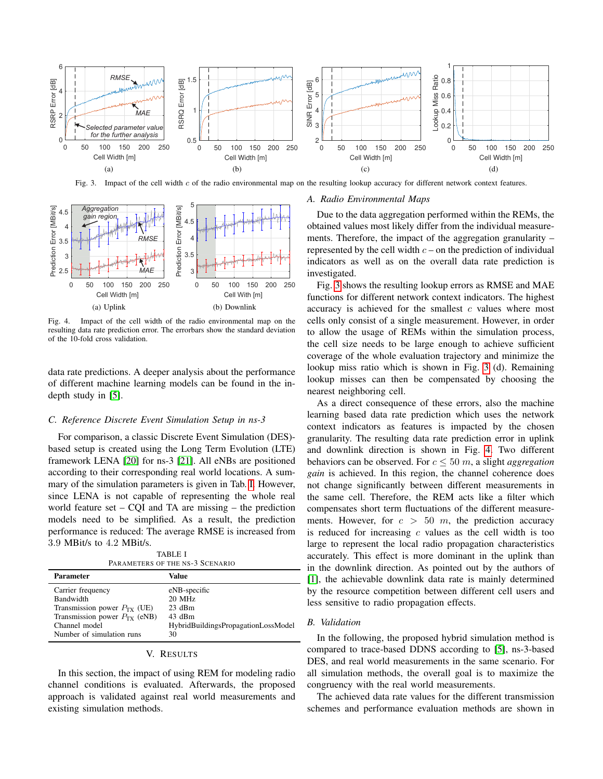

Fig. 3. Impact of the cell width c of the radio environmental map on the resulting lookup accuracy for different network context features.

<span id="page-3-2"></span>

<span id="page-3-3"></span>Fig. 4. Impact of the cell width of the radio environmental map on the resulting data rate prediction error. The errorbars show the standard deviation of the 10-fold cross validation.

data rate predictions. A deeper analysis about the performance of different machine learning models can be found in the indepth study in [\[5\]](#page-5-4).

#### <span id="page-3-4"></span>*C. Reference Discrete Event Simulation Setup in ns-3*

For comparison, a classic Discrete Event Simulation (DES) based setup is created using the Long Term Evolution (LTE) framework LENA [\[20\]](#page-5-19) for ns-3 [\[21\]](#page-5-20). All eNBs are positioned according to their corresponding real world locations. A summary of the simulation parameters is given in Tab. [I.](#page-3-1) However, since LENA is not capable of representing the whole real world feature set – CQI and TA are missing – the prediction models need to be simplified. As a result, the prediction performance is reduced: The average RMSE is increased from 3.9 MBit/s to 4.2 MBit/s.

TABLE I PARAMETERS OF THE NS-3 SCENARIO

<span id="page-3-1"></span>

| <b>Parameter</b>                  | Value                               |
|-----------------------------------|-------------------------------------|
| Carrier frequency                 | eNB-specific                        |
| <b>Bandwidth</b>                  | $20$ MHz                            |
| Transmission power $P_{TX}$ (UE)  | $23$ dBm                            |
| Transmission power $P_{TX}$ (eNB) | 43 dBm                              |
| Channel model                     | HybridBuildingsPropagationLossModel |
| Number of simulation runs         | 30                                  |

## V. RESULTS

<span id="page-3-0"></span>In this section, the impact of using REM for modeling radio channel conditions is evaluated. Afterwards, the proposed approach is validated against real world measurements and existing simulation methods.

## *A. Radio Environmental Maps*

Due to the data aggregation performed within the REMs, the obtained values most likely differ from the individual measurements. Therefore, the impact of the aggregation granularity – represented by the cell width  $c$  – on the prediction of individual indicators as well as on the overall data rate prediction is investigated.

Fig. [3](#page-3-2) shows the resulting lookup errors as RMSE and MAE functions for different network context indicators. The highest accuracy is achieved for the smallest  $c$  values where most cells only consist of a single measurement. However, in order to allow the usage of REMs within the simulation process, the cell size needs to be large enough to achieve sufficient coverage of the whole evaluation trajectory and minimize the lookup miss ratio which is shown in Fig. [3](#page-3-2) (d). Remaining lookup misses can then be compensated by choosing the nearest neighboring cell.

As a direct consequence of these errors, also the machine learning based data rate prediction which uses the network context indicators as features is impacted by the chosen granularity. The resulting data rate prediction error in uplink and downlink direction is shown in Fig. [4.](#page-3-3) Two different behaviors can be observed. For  $c \leq 50$  m, a slight *aggregation gain* is achieved. In this region, the channel coherence does not change significantly between different measurements in the same cell. Therefore, the REM acts like a filter which compensates short term fluctuations of the different measurements. However, for  $c > 50$  m, the prediction accuracy is reduced for increasing  $c$  values as the cell width is too large to represent the local radio propagation characteristics accurately. This effect is more dominant in the uplink than in the downlink direction. As pointed out by the authors of [\[1\]](#page-5-0), the achievable downlink data rate is mainly determined by the resource competition between different cell users and less sensitive to radio propagation effects.

#### *B. Validation*

In the following, the proposed hybrid simulation method is compared to trace-based DDNS according to [\[5\]](#page-5-4), ns-3-based DES, and real world measurements in the same scenario. For all simulation methods, the overall goal is to maximize the congruency with the real world measurements.

The achieved data rate values for the different transmission schemes and performance evaluation methods are shown in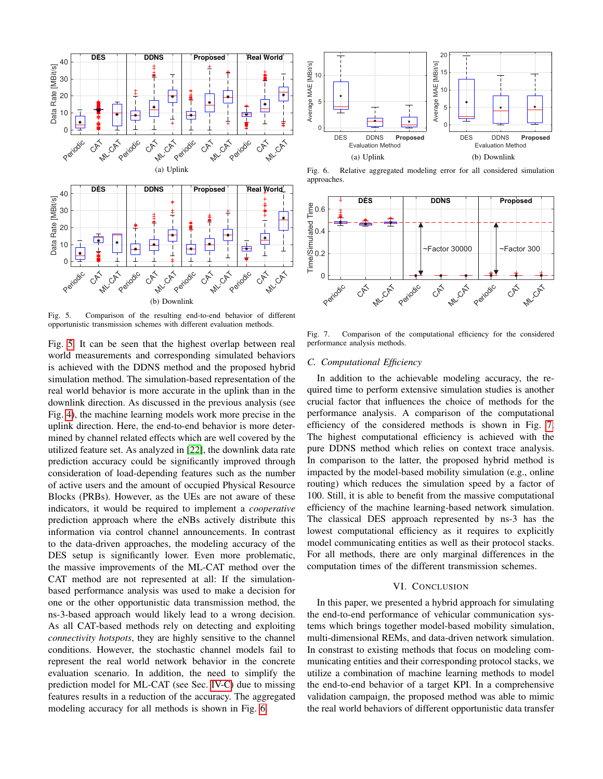

<span id="page-4-0"></span>Fig. 5. Comparison of the resulting end-to-end behavior of different opportunistic transmission schemes with different evaluation methods.

Fig. [5.](#page-4-0) It can be seen that the highest overlap between real world measurements and corresponding simulated behaviors is achieved with the DDNS method and the proposed hybrid simulation method. The simulation-based representation of the real world behavior is more accurate in the uplink than in the downlink direction. As discussed in the previous analysis (see Fig. [4\)](#page-3-3), the machine learning models work more precise in the uplink direction. Here, the end-to-end behavior is more determined by channel related effects which are well covered by the utilized feature set. As analyzed in [\[22\]](#page-5-21), the downlink data rate prediction accuracy could be significantly improved through consideration of load-depending features such as the number of active users and the amount of occupied Physical Resource Blocks (PRBs). However, as the UEs are not aware of these indicators, it would be required to implement a *cooperative* prediction approach where the eNBs actively distribute this information via control channel announcements. In contrast to the data-driven approaches, the modeling accuracy of the DES setup is significantly lower. Even more problematic, the massive improvements of the ML-CAT method over the CAT method are not represented at all: If the simulationbased performance analysis was used to make a decision for one or the other opportunistic data transmission method, the ns-3-based approach would likely lead to a wrong decision. As all CAT-based methods rely on detecting and exploiting *connectivity hotspots*, they are highly sensitive to the channel conditions. However, the stochastic channel models fail to represent the real world network behavior in the concrete evaluation scenario. In addition, the need to simplify the prediction model for ML-CAT (see Sec. [IV-C\)](#page-3-4) due to missing features results in a reduction of the accuracy. The aggregated modeling accuracy for all methods is shown in Fig. [6.](#page-4-1)



<span id="page-4-1"></span>Fig. 6. Relative aggregated modeling error for all considered simulation approaches.



<span id="page-4-2"></span>Fig. 7. Comparison of the computational efficiency for the considered performance analysis methods.

## *C. Computational Efficiency*

In addition to the achievable modeling accuracy, the required time to perform extensive simulation studies is another crucial factor that influences the choice of methods for the performance analysis. A comparison of the computational efficiency of the considered methods is shown in Fig. [7.](#page-4-2) The highest computational efficiency is achieved with the pure DDNS method which relies on context trace analysis. In comparison to the latter, the proposed hybrid method is impacted by the model-based mobility simulation (e.g., online routing) which reduces the simulation speed by a factor of 100. Still, it is able to benefit from the massive computational efficiency of the machine learning-based network simulation. The classical DES approach represented by ns-3 has the lowest computational efficiency as it requires to explicitly model communicating entities as well as their protocol stacks. For all methods, there are only marginal differences in the computation times of the different transmission schemes.

#### VI. CONCLUSION

In this paper, we presented a hybrid approach for simulating the end-to-end performance of vehicular communication systems which brings together model-based mobility simulation, multi-dimensional REMs, and data-driven network simulation. In constrast to existing methods that focus on modeling communicating entities and their corresponding protocol stacks, we utilize a combination of machine learning methods to model the end-to-end behavior of a target KPI. In a comprehensive validation campaign, the proposed method was able to mimic the real world behaviors of different opportunistic data transfer